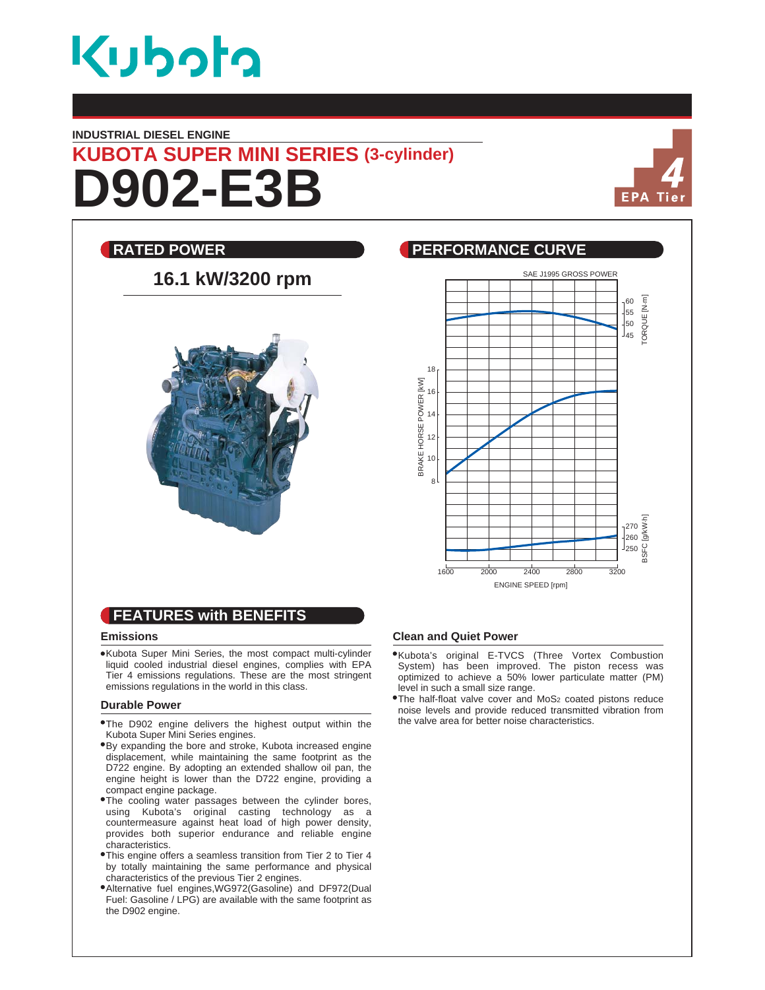

#### **INDUSTRIAL DIESEL ENGINE**

# **D902-E3B KUBOTA SUPER MINI SERIES (3-cylinder)**



## **RATED POWER CURVE REALLY BEEN PERFORMANCE CURVE** SAE J1995 GROSS POWER **16.1 kW/3200 rpm** ORQUE [N·m] TORQUE [N.m] 60  $\frac{1}{55}$ 50 l<sub>45</sub> 18 BRAKE HORSE POWER IKWI BRAKE HORSE POWER [kW] 16 14 12 10 8 BSFC [g/kW.h] 270 260 250 1600 2000 2400 2800 3200 ENGINE SPEED [rpm]

# **FEATURES with BENEFITS**

#### **Emissions**

Kubota Super Mini Series, the most compact multi-cylinder liquid cooled industrial diesel engines, complies with EPA Tier 4 emissions regulations. These are the most stringent emissions regulations in the world in this class.

#### **Durable Power**

- The D902 engine delivers the highest output within the Kubota Super Mini Series engines.
- By expanding the bore and stroke, Kubota increased engine displacement, while maintaining the same footprint as the D722 engine. By adopting an extended shallow oil pan, the engine height is lower than the D722 engine, providing a compact engine package.
- The cooling water passages between the cylinder bores, using Kubota's original casting technology as a countermeasure against heat load of high power density, provides both superior endurance and reliable engine characteristics.
- This engine offers a seamless transition from Tier 2 to Tier 4 by totally maintaining the same performance and physical characteristics of the previous Tier 2 engines.
- Alternative fuel engines,WG972(Gasoline) and DF972(Dual Fuel: Gasoline / LPG) are available with the same footprint as the D902 engine.

### **Clean and Quiet Power**

- Kubota's original E-TVCS (Three Vortex Combustion System) has been improved. The piston recess was optimized to achieve a 50% lower particulate matter (PM) level in such a small size range.
- The half-float valve cover and MoS2 coated pistons reduce noise levels and provide reduced transmitted vibration from the valve area for better noise characteristics.